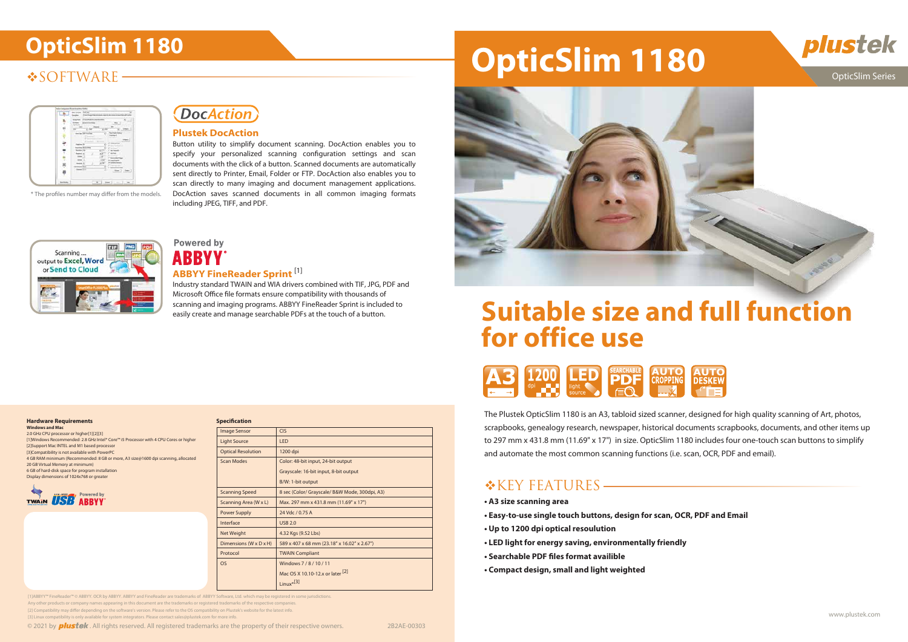## **❖SOFTWARE-**

| τ                            |
|------------------------------|
|                              |
|                              |
| ÷.<br>$-14 -$<br>Í<br>τ<br>G |
| x<br>÷                       |
|                              |
| on the                       |
| œ<br>$(m-1 - 1)$             |

\* The profiles number may differ from the models.

**DocAction** 

# **OpticSlim 1180 OpticSlim 1180**



#### OpticSlim Series



The Plustek OpticSlim 1180 is an A3, tabloid sized scanner, designed for high quality scanning of Art, photos, scrapbooks, genealogy research, newspaper, historical documents scrapbooks, documents, and other items up to 297 mm x 431.8 mm (11.69" x 17") in size. OpticSlim 1180 includes four one-touch scan buttons to simplify and automate the most common scanning functions (i.e. scan, OCR, PDF and email).

## \*KEY FEATURES - The Second Second Second Second Second Second Second Second Second Second Second Second Second Second Second Second Second Second Second Second Second Second Second Second Second Second Second Second Second

- **A3 size scanning area**
- **Easy-to-use single touch buttons, design for scan, OCR, PDF and Email**
- **Up to 1200 dpi optical resoulution**
- **LED light for energy saving, environmentally friendly**
- **Searchable PDF files format availible**
- **Compact design, small and light weighted**





www.plustek.com

## **Suitable size and full function for office use**



| <b>JPELIILALIVII</b>      |                                                |  |
|---------------------------|------------------------------------------------|--|
| <b>Image Sensor</b>       | <b>CIS</b>                                     |  |
| <b>Light Source</b>       | <b>LED</b>                                     |  |
| <b>Optical Resolution</b> | 1200 dpi                                       |  |
| <b>Scan Modes</b>         | Color: 48-bit input, 24-bit output             |  |
|                           | Grayscale: 16-bit input, 8-bit output          |  |
|                           | B/W: 1-bit output                              |  |
| <b>Scanning Speed</b>     | 8 sec (Color/ Grayscale/ B&W Mode, 300dpi, A3) |  |
| Scanning Area (W x L)     | Max. 297 mm x 431.8 mm (11.69" x 17")          |  |
| <b>Power Supply</b>       | 24 Vdc / 0.75 A                                |  |
| Interface                 | <b>USB 2.0</b>                                 |  |
| Net Weight                | 4.32 Kgs (9.52 Lbs)                            |  |
| Dimensions (W x D x H)    | 589 x 407 x 68 mm (23.18" x 16.02" x 2.67")    |  |
| Protocol                  | <b>TWAIN Compliant</b>                         |  |
| <b>OS</b>                 | Windows 7/8/10/11                              |  |
|                           | Mac OS X 10.10-12.x or later [2]               |  |
|                           | $Linux*[3]$                                    |  |
|                           |                                                |  |

#### **Specication**

#### **Plustek DocAction**

Button utility to simplify document scanning. DocAction enables you to specify your personalized scanning configuration settings and scan documents with the click of a button. Scanned documents are automatically sent directly to Printer, Email, Folder or FTP. DocAction also enables you to scan directly to many imaging and document management applications. DocAction saves scanned documents in all common imaging formats including JPEG, TIFF, and PDF.



## **Powered by ABBYY**

#### **ABBYY FineReader Sprint** [1]

Industry standard TWAIN and WIA drivers combined with TIF, JPG, PDF and Microsoft Office file formats ensure compatibility with thousands of scanning and imaging programs. ABBYY FineReader Sprint is included to easily create and manage searchable PDFs at the touch of a button.

#### **Hardware Requirements**

**Windows and Mac** 2.0 GHz CPU processor or higher[1][2][3] [1]Windows Recommended: 2.8 GHz Intel® Core™ i5 Processor with 4 CPU Cores or higher [2]Support Mac INTEL and M1 based processor [3]Compatibility is not available with PowerPC 4 GB RAM minimum (Recommended: 8 GB or more, A3 size@1600 dpi scanning, allocated 20 GB Virtual Memory at minimum) 6 GB of hard-disk space for program installation Display dimensions of 1024x768 or greater



[1]ABBYY™ FineReader™ © ABBYY. OCR by ABBYY. ABBYY and FineReader are trademarks of ABBYY Software, Ltd. which may be registered in some jurisdictions.

Any other products or company names appearing in this document are the trademarks or registered trademarks of the respective companies.

[2] Compatibility may differ depending on the software's version. Please refer to the OS compatibility on Plustek's website for the latest info.

[3] Linux compatibility is only available for system integrators. Please contact sales@plustek.com for more info.

© 2021 by **plustek**. All rights reserved. All registered trademarks are the property of their respective owners. 2B2AE-00303